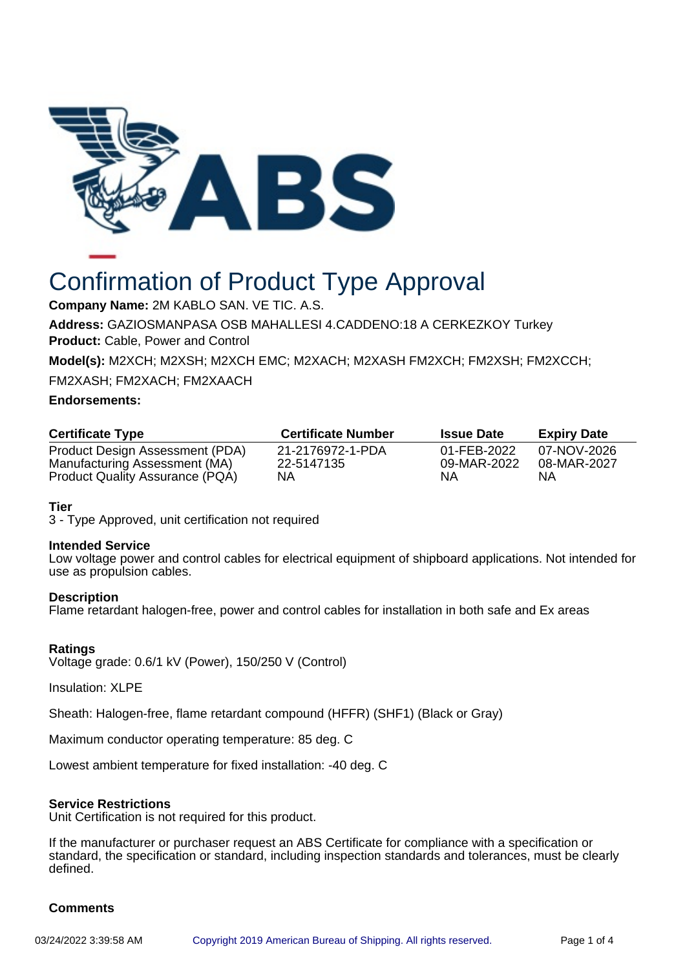

# Confirmation of Product Type Approval

**Company Name:** 2M KABLO SAN. VE TIC. A.S.

**Address:** GAZIOSMANPASA OSB MAHALLESI 4.CADDENO:18 A CERKEZKOY Turkey **Product:** Cable, Power and Control

**Model(s):** M2XCH; M2XSH; M2XCH EMC; M2XACH; M2XASH FM2XCH; FM2XSH; FM2XCCH;

FM2XASH; FM2XACH; FM2XAACH

### **Endorsements:**

| <b>Certificate Type</b>                                          | <b>Certificate Number</b>      | <b>Issue Date</b>          | <b>Expiry Date</b>         |
|------------------------------------------------------------------|--------------------------------|----------------------------|----------------------------|
| Product Design Assessment (PDA)<br>Manufacturing Assessment (MA) | 21-2176972-1-PDA<br>22-5147135 | 01-FEB-2022<br>09-MAR-2022 | 07-NOV-2026<br>08-MAR-2027 |
| Product Quality Assurance (PQA)                                  | NA                             | ΝA                         | ΝA                         |

## **Tier**

3 - Type Approved, unit certification not required

#### **Intended Service**

Low voltage power and control cables for electrical equipment of shipboard applications. Not intended for use as propulsion cables.

#### **Description**

Flame retardant halogen-free, power and control cables for installation in both safe and Ex areas

## **Ratings**

Voltage grade: 0.6/1 kV (Power), 150/250 V (Control)

Insulation: XLPE

Sheath: Halogen-free, flame retardant compound (HFFR) (SHF1) (Black or Gray)

Maximum conductor operating temperature: 85 deg. C

Lowest ambient temperature for fixed installation: -40 deg. C

## **Service Restrictions**

Unit Certification is not required for this product.

If the manufacturer or purchaser request an ABS Certificate for compliance with a specification or standard, the specification or standard, including inspection standards and tolerances, must be clearly defined.

## **Comments**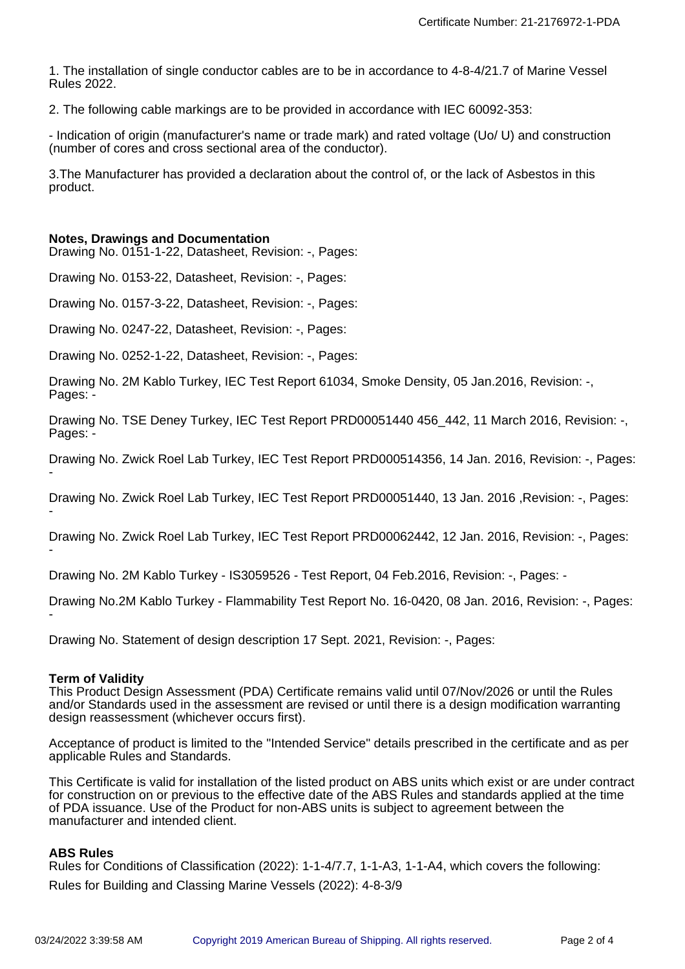1. The installation of single conductor cables are to be in accordance to 4-8-4/21.7 of Marine Vessel Rules 2022.

2. The following cable markings are to be provided in accordance with IEC 60092-353:

- Indication of origin (manufacturer's name or trade mark) and rated voltage (Uo/ U) and construction (number of cores and cross sectional area of the conductor).

3.The Manufacturer has provided a declaration about the control of, or the lack of Asbestos in this product.

#### **Notes, Drawings and Documentation**

Drawing No. 0151-1-22, Datasheet, Revision: -, Pages:

Drawing No. 0153-22, Datasheet, Revision: -, Pages:

Drawing No. 0157-3-22, Datasheet, Revision: -, Pages:

Drawing No. 0247-22, Datasheet, Revision: -, Pages:

Drawing No. 0252-1-22, Datasheet, Revision: -, Pages:

Drawing No. 2M Kablo Turkey, IEC Test Report 61034, Smoke Density, 05 Jan.2016, Revision: -, Pages: -

Drawing No. TSE Deney Turkey, IEC Test Report PRD00051440 456\_442, 11 March 2016, Revision: -, Pages: -

Drawing No. Zwick Roel Lab Turkey, IEC Test Report PRD000514356, 14 Jan. 2016, Revision: -, Pages: -

Drawing No. Zwick Roel Lab Turkey, IEC Test Report PRD00051440, 13 Jan. 2016 ,Revision: -, Pages: -

Drawing No. Zwick Roel Lab Turkey, IEC Test Report PRD00062442, 12 Jan. 2016, Revision: -, Pages: -

Drawing No. 2M Kablo Turkey - IS3059526 - Test Report, 04 Feb.2016, Revision: -, Pages: -

Drawing No.2M Kablo Turkey - Flammability Test Report No. 16-0420, 08 Jan. 2016, Revision: -, Pages: -

Drawing No. Statement of design description 17 Sept. 2021, Revision: -, Pages:

#### **Term of Validity**

This Product Design Assessment (PDA) Certificate remains valid until 07/Nov/2026 or until the Rules and/or Standards used in the assessment are revised or until there is a design modification warranting design reassessment (whichever occurs first).

Acceptance of product is limited to the "Intended Service" details prescribed in the certificate and as per applicable Rules and Standards.

This Certificate is valid for installation of the listed product on ABS units which exist or are under contract for construction on or previous to the effective date of the ABS Rules and standards applied at the time of PDA issuance. Use of the Product for non-ABS units is subject to agreement between the manufacturer and intended client.

#### **ABS Rules**

Rules for Conditions of Classification (2022): 1-1-4/7.7, 1-1-A3, 1-1-A4, which covers the following: Rules for Building and Classing Marine Vessels (2022): 4-8-3/9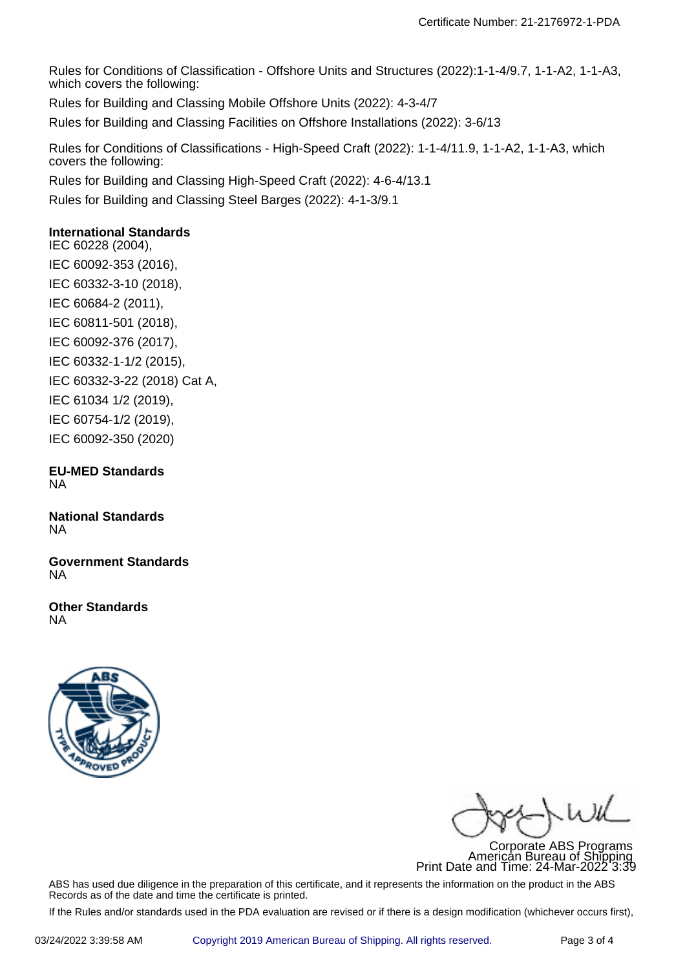Rules for Conditions of Classification - Offshore Units and Structures (2022):1-1-4/9.7, 1-1-A2, 1-1-A3, which covers the following:

Rules for Building and Classing Mobile Offshore Units (2022): 4-3-4/7

Rules for Building and Classing Facilities on Offshore Installations (2022): 3-6/13

Rules for Conditions of Classifications - High-Speed Craft (2022): 1-1-4/11.9, 1-1-A2, 1-1-A3, which covers the following:

Rules for Building and Classing High-Speed Craft (2022): 4-6-4/13.1

Rules for Building and Classing Steel Barges (2022): 4-1-3/9.1

## **International Standards**

IEC 60228 (2004), IEC 60092-353 (2016), IEC 60332-3-10 (2018), IEC 60684-2 (2011), IEC 60811-501 (2018), IEC 60092-376 (2017), IEC 60332-1-1/2 (2015), IEC 60332-3-22 (2018) Cat A, IEC 61034 1/2 (2019), IEC 60754-1/2 (2019), IEC 60092-350 (2020)

**EU-MED Standards** NA

**National Standards** NA

**Government Standards** NA

**Other Standards** NA



 $\frac{1}{4}$ 

Corporate ABS Programs American Bureau of Shipping Print Date and Time: 24-Mar-2022 3:39

ABS has used due diligence in the preparation of this certificate, and it represents the information on the product in the ABS Records as of the date and time the certificate is printed.

If the Rules and/or standards used in the PDA evaluation are revised or if there is a design modification (whichever occurs first),